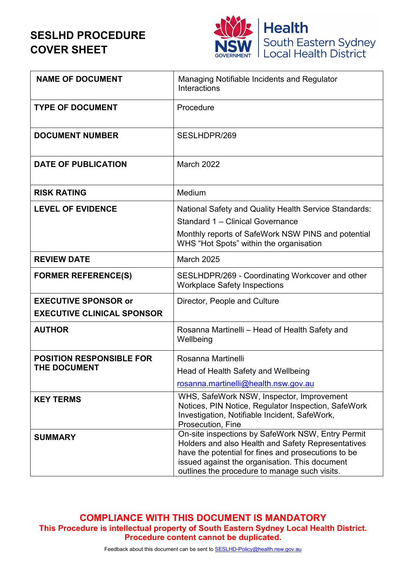# **SESLHD PROCEDURE COVER SHEET**



| <b>NAME OF DOCUMENT</b>                                          | Managing Notifiable Incidents and Regulator<br>Interactions                                                                                                                                                                                                       |
|------------------------------------------------------------------|-------------------------------------------------------------------------------------------------------------------------------------------------------------------------------------------------------------------------------------------------------------------|
| <b>TYPE OF DOCUMENT</b>                                          | Procedure                                                                                                                                                                                                                                                         |
| <b>DOCUMENT NUMBER</b>                                           | SESLHDPR/269                                                                                                                                                                                                                                                      |
| <b>DATE OF PUBLICATION</b>                                       | <b>March 2022</b>                                                                                                                                                                                                                                                 |
| <b>RISK RATING</b>                                               | Medium                                                                                                                                                                                                                                                            |
| <b>LEVEL OF EVIDENCE</b>                                         | National Safety and Quality Health Service Standards:<br>Standard 1 - Clinical Governance<br>Monthly reports of SafeWork NSW PINS and potential<br>WHS "Hot Spots" within the organisation                                                                        |
| <b>REVIEW DATE</b>                                               | <b>March 2025</b>                                                                                                                                                                                                                                                 |
| <b>FORMER REFERENCE(S)</b>                                       | SESLHDPR/269 - Coordinating Workcover and other<br><b>Workplace Safety Inspections</b>                                                                                                                                                                            |
| <b>EXECUTIVE SPONSOR or</b><br><b>EXECUTIVE CLINICAL SPONSOR</b> | Director, People and Culture                                                                                                                                                                                                                                      |
| <b>AUTHOR</b>                                                    | Rosanna Martinelli - Head of Health Safety and<br>Wellbeing                                                                                                                                                                                                       |
| <b>POSITION RESPONSIBLE FOR</b>                                  | Rosanna Martinelli                                                                                                                                                                                                                                                |
| <b>THE DOCUMENT</b>                                              | Head of Health Safety and Wellbeing                                                                                                                                                                                                                               |
|                                                                  | rosanna.martinelli@health.nsw.gov.au                                                                                                                                                                                                                              |
| <b>KEY TERMS</b>                                                 | WHS, SafeWork NSW, Inspector, Improvement<br>Notices, PIN Notice, Regulator Inspection, SafeWork<br>Investigation, Notifiable Incident, SafeWork,<br>Prosecution, Fine                                                                                            |
| <b>SUMMARY</b>                                                   | On-site inspections by SafeWork NSW, Entry Permit<br>Holders and also Health and Safety Representatives<br>have the potential for fines and prosecutions to be<br>issued against the organisation. This document<br>outlines the procedure to manage such visits. |

**COMPLIANCE WITH THIS DOCUMENT IS MANDATORY This Procedure is intellectual property of South Eastern Sydney Local Health District. Procedure content cannot be duplicated.**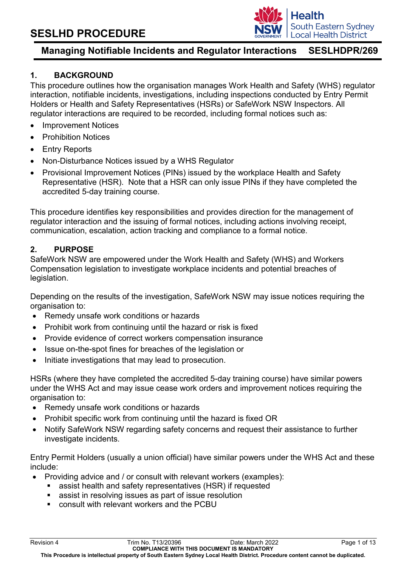

## **1. BACKGROUND**

This procedure outlines how the organisation manages Work Health and Safety (WHS) regulator interaction, notifiable incidents, investigations, including inspections conducted by Entry Permit Holders or Health and Safety Representatives (HSRs) or SafeWork NSW Inspectors. All regulator interactions are required to be recorded, including formal notices such as:

- Improvement Notices
- Prohibition Notices
- Entry Reports
- Non-Disturbance Notices issued by a WHS Regulator
- Provisional Improvement Notices (PINs) issued by the workplace Health and Safety Representative (HSR). Note that a HSR can only issue PINs if they have completed the accredited 5-day training course.

This procedure identifies key responsibilities and provides direction for the management of regulator interaction and the issuing of formal notices, including actions involving receipt, communication, escalation, action tracking and compliance to a formal notice.

### **2. PURPOSE**

SafeWork NSW are empowered under the Work Health and Safety (WHS) and Workers Compensation legislation to investigate workplace incidents and potential breaches of legislation.

Depending on the results of the investigation, SafeWork NSW may issue notices requiring the organisation to:

- Remedy unsafe work conditions or hazards
- Prohibit work from continuing until the hazard or risk is fixed
- Provide evidence of correct workers compensation insurance
- Issue on-the-spot fines for breaches of the legislation or
- Initiate investigations that may lead to prosecution.

HSRs (where they have completed the accredited 5-day training course) have similar powers under the WHS Act and may issue cease work orders and improvement notices requiring the organisation to:

- Remedy unsafe work conditions or hazards
- Prohibit specific work from continuing until the hazard is fixed OR
- Notify SafeWork NSW regarding safety concerns and request their assistance to further investigate incidents.

Entry Permit Holders (usually a union official) have similar powers under the WHS Act and these include:

- Providing advice and / or consult with relevant workers (examples):
	- assist health and safety representatives (HSR) if requested
	- assist in resolving issues as part of issue resolution
	- consult with relevant workers and the PCBU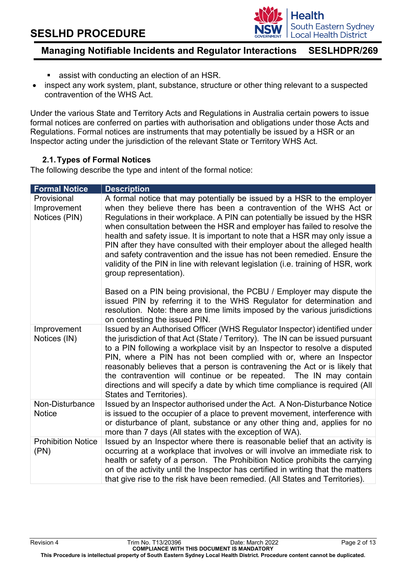

# **Managing Notifiable Incidents and Regulator Interactions SESLHDPR/269**

- assist with conducting an election of an HSR.
- inspect any work system, plant, substance, structure or other thing relevant to a suspected contravention of the WHS Act.

Under the various State and Territory Acts and Regulations in Australia certain powers to issue formal notices are conferred on parties with authorisation and obligations under those Acts and Regulations. Formal notices are instruments that may potentially be issued by a HSR or an Inspector acting under the jurisdiction of the relevant State or Territory WHS Act.

## **2.1.Types of Formal Notices**

The following describe the type and intent of the formal notice:

| <b>Formal Notice</b>                        | <b>Description</b>                                                                                                                                                                                                                                                                                                                                                                                                                                                                                                                                                                                                                                               |
|---------------------------------------------|------------------------------------------------------------------------------------------------------------------------------------------------------------------------------------------------------------------------------------------------------------------------------------------------------------------------------------------------------------------------------------------------------------------------------------------------------------------------------------------------------------------------------------------------------------------------------------------------------------------------------------------------------------------|
| Provisional<br>Improvement<br>Notices (PIN) | A formal notice that may potentially be issued by a HSR to the employer<br>when they believe there has been a contravention of the WHS Act or<br>Regulations in their workplace. A PIN can potentially be issued by the HSR<br>when consultation between the HSR and employer has failed to resolve the<br>health and safety issue. It is important to note that a HSR may only issue a<br>PIN after they have consulted with their employer about the alleged health<br>and safety contravention and the issue has not been remedied. Ensure the<br>validity of the PIN in line with relevant legislation (i.e. training of HSR, work<br>group representation). |
|                                             | Based on a PIN being provisional, the PCBU / Employer may dispute the<br>issued PIN by referring it to the WHS Regulator for determination and<br>resolution. Note: there are time limits imposed by the various jurisdictions<br>on contesting the issued PIN.                                                                                                                                                                                                                                                                                                                                                                                                  |
| Improvement<br>Notices (IN)                 | Issued by an Authorised Officer (WHS Regulator Inspector) identified under<br>the jurisdiction of that Act (State / Territory). The IN can be issued pursuant<br>to a PIN following a workplace visit by an Inspector to resolve a disputed<br>PIN, where a PIN has not been complied with or, where an Inspector<br>reasonably believes that a person is contravening the Act or is likely that<br>the contravention will continue or be repeated. The IN may contain<br>directions and will specify a date by which time compliance is required (All<br>States and Territories).                                                                               |
| Non-Disturbance<br><b>Notice</b>            | Issued by an Inspector authorised under the Act. A Non-Disturbance Notice<br>is issued to the occupier of a place to prevent movement, interference with<br>or disturbance of plant, substance or any other thing and, applies for no<br>more than 7 days (All states with the exception of WA).                                                                                                                                                                                                                                                                                                                                                                 |
| <b>Prohibition Notice</b><br>(PN)           | Issued by an Inspector where there is reasonable belief that an activity is<br>occurring at a workplace that involves or will involve an immediate risk to<br>health or safety of a person. The Prohibition Notice prohibits the carrying<br>on of the activity until the Inspector has certified in writing that the matters<br>that give rise to the risk have been remedied. (All States and Territories).                                                                                                                                                                                                                                                    |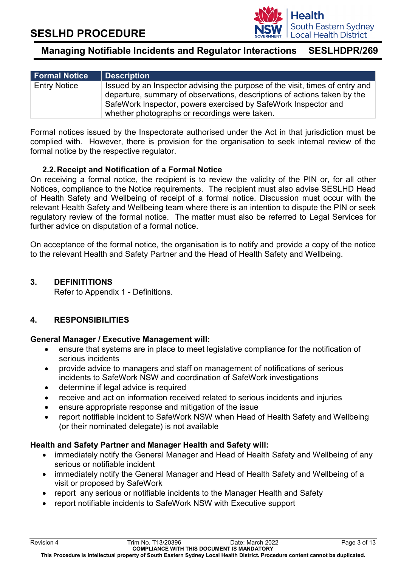

| <b>Formal Notice</b> | Description                                                                                                                                                                                                                                                                 |
|----------------------|-----------------------------------------------------------------------------------------------------------------------------------------------------------------------------------------------------------------------------------------------------------------------------|
| <b>Entry Notice</b>  | Issued by an Inspector advising the purpose of the visit, times of entry and<br>departure, summary of observations, descriptions of actions taken by the<br>SafeWork Inspector, powers exercised by SafeWork Inspector and<br>whether photographs or recordings were taken. |

Formal notices issued by the Inspectorate authorised under the Act in that jurisdiction must be complied with. However, there is provision for the organisation to seek internal review of the formal notice by the respective regulator.

### **2.2.Receipt and Notification of a Formal Notice**

On receiving a formal notice, the recipient is to review the validity of the PIN or, for all other Notices, compliance to the Notice requirements. The recipient must also advise SESLHD Head of Health Safety and Wellbeing of receipt of a formal notice. Discussion must occur with the relevant Health Safety and Wellbeing team where there is an intention to dispute the PIN or seek regulatory review of the formal notice. The matter must also be referred to Legal Services for further advice on disputation of a formal notice.

On acceptance of the formal notice, the organisation is to notify and provide a copy of the notice to the relevant Health and Safety Partner and the Head of Health Safety and Wellbeing.

## **3. DEFINITITIONS**

Refer to Appendix 1 - Definitions.

## **4. RESPONSIBILITIES**

#### **General Manager / Executive Management will:**

- ensure that systems are in place to meet legislative compliance for the notification of serious incidents
- provide advice to managers and staff on management of notifications of serious incidents to SafeWork NSW and coordination of SafeWork investigations
- determine if legal advice is required
- receive and act on information received related to serious incidents and injuries
- ensure appropriate response and mitigation of the issue
- report notifiable incident to SafeWork NSW when Head of Health Safety and Wellbeing (or their nominated delegate) is not available

#### **Health and Safety Partner and Manager Health and Safety will:**

- immediately notify the General Manager and Head of Health Safety and Wellbeing of any serious or notifiable incident
- immediately notify the General Manager and Head of Health Safety and Wellbeing of a visit or proposed by SafeWork
- report any serious or notifiable incidents to the Manager Health and Safety
- report notifiable incidents to SafeWork NSW with Executive support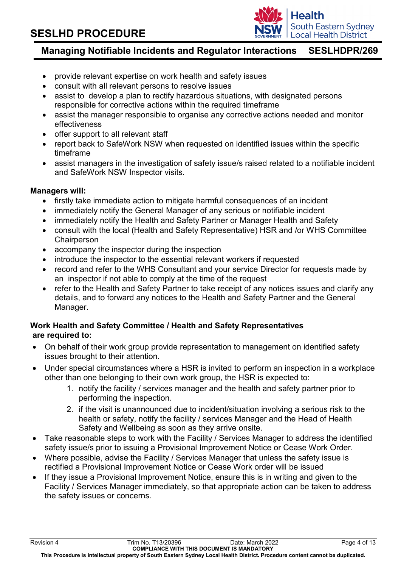

# **Managing Notifiable Incidents and Regulator Interactions SESLHDPR/269**

- provide relevant expertise on work health and safety issues
- consult with all relevant persons to resolve issues
- assist to develop a plan to rectify hazardous situations, with designated persons responsible for corrective actions within the required timeframe
- assist the manager responsible to organise any corrective actions needed and monitor effectiveness
- offer support to all relevant staff
- report back to SafeWork NSW when requested on identified issues within the specific timeframe
- assist managers in the investigation of safety issue/s raised related to a notifiable incident and SafeWork NSW Inspector visits.

#### **Managers will:**

- firstly take immediate action to mitigate harmful consequences of an incident
- immediately notify the General Manager of any serious or notifiable incident
- immediately notify the Health and Safety Partner or Manager Health and Safety
- consult with the local (Health and Safety Representative) HSR and /or WHS Committee **Chairperson**
- accompany the inspector during the inspection
- introduce the inspector to the essential relevant workers if requested
- record and refer to the WHS Consultant and your service Director for requests made by an inspector if not able to comply at the time of the request
- refer to the Health and Safety Partner to take receipt of any notices issues and clarify any details, and to forward any notices to the Health and Safety Partner and the General Manager.

## **Work Health and Safety Committee / Health and Safety Representatives are required to:**

- On behalf of their work group provide representation to management on identified safety issues brought to their attention.
- Under special circumstances where a HSR is invited to perform an inspection in a workplace other than one belonging to their own work group, the HSR is expected to:
	- 1. notify the facility / services manager and the health and safety partner prior to performing the inspection.
	- 2. if the visit is unannounced due to incident/situation involving a serious risk to the health or safety, notify the facility / services Manager and the Head of Health Safety and Wellbeing as soon as they arrive onsite.
- Take reasonable steps to work with the Facility / Services Manager to address the identified safety issue/s prior to issuing a Provisional Improvement Notice or Cease Work Order.
- Where possible, advise the Facility / Services Manager that unless the safety issue is rectified a Provisional Improvement Notice or Cease Work order will be issued
- If they issue a Provisional Improvement Notice, ensure this is in writing and given to the Facility / Services Manager immediately, so that appropriate action can be taken to address the safety issues or concerns.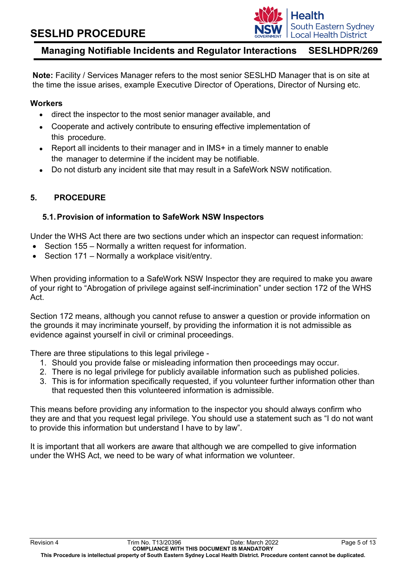

**Note:** Facility / Services Manager refers to the most senior SESLHD Manager that is on site at the time the issue arises, example Executive Director of Operations, Director of Nursing etc.

#### **Workers**

- direct the inspector to the most senior manager available, and
- Cooperate and actively contribute to ensuring effective implementation of this procedure.
- Report all incidents to their manager and in IMS+ in a timely manner to enable the manager to determine if the incident may be notifiable.
- Do not disturb any incident site that may result in a SafeWork NSW notification.

### **5. PROCEDURE**

#### **5.1.Provision of information to SafeWork NSW Inspectors**

Under the WHS Act there are two sections under which an inspector can request information:

- Section 155 Normally a written request for information.
- Section 171 Normally a workplace visit/entry.

When providing information to a SafeWork NSW Inspector they are required to make you aware of your right to "Abrogation of privilege against self-incrimination" under section 172 of the WHS Act.

Section 172 means, although you cannot refuse to answer a question or provide information on the grounds it may incriminate yourself, by providing the information it is not admissible as evidence against yourself in civil or criminal proceedings.

There are three stipulations to this legal privilege -

- 1. Should you provide false or misleading information then proceedings may occur.
- 2. There is no legal privilege for publicly available information such as published policies.
- 3. This is for information specifically requested, if you volunteer further information other than that requested then this volunteered information is admissible.

This means before providing any information to the inspector you should always confirm who they are and that you request legal privilege. You should use a statement such as "I do not want to provide this information but understand I have to by law".

It is important that all workers are aware that although we are compelled to give information under the WHS Act, we need to be wary of what information we volunteer.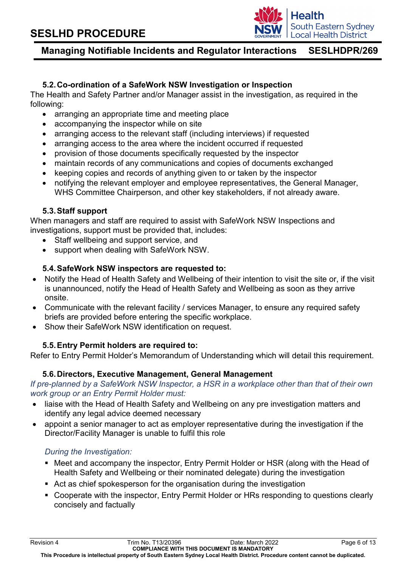

# **Managing Notifiable Incidents and Regulator Interactions SESLHDPR/269**

## **5.2.Co-ordination of a SafeWork NSW Investigation or Inspection**

The Health and Safety Partner and/or Manager assist in the investigation, as required in the following:

- arranging an appropriate time and meeting place
- accompanying the inspector while on site
- arranging access to the relevant staff (including interviews) if requested
- arranging access to the area where the incident occurred if requested
- provision of those documents specifically requested by the inspector
- maintain records of any communications and copies of documents exchanged
- keeping copies and records of anything given to or taken by the inspector
- notifying the relevant employer and employee representatives, the General Manager, WHS Committee Chairperson, and other key stakeholders, if not already aware.

### **5.3.Staff support**

When managers and staff are required to assist with SafeWork NSW Inspections and investigations, support must be provided that, includes:

- Staff wellbeing and support service, and
- support when dealing with SafeWork NSW.

## **5.4.SafeWork NSW inspectors are requested to:**

- Notify the Head of Health Safety and Wellbeing of their intention to visit the site or, if the visit is unannounced, notify the Head of Health Safety and Wellbeing as soon as they arrive onsite.
- Communicate with the relevant facility / services Manager, to ensure any required safety briefs are provided before entering the specific workplace.
- Show their SafeWork NSW identification on request.

## **5.5.Entry Permit holders are required to:**

Refer to Entry Permit Holder's Memorandum of Understanding which will detail this requirement.

#### **5.6.Directors, Executive Management, General Management**

*If pre-planned by a SafeWork NSW Inspector, a HSR in a workplace other than that of their own work group or an Entry Permit Holder must:*

- liaise with the Head of Health Safety and Wellbeing on any pre investigation matters and identify any legal advice deemed necessary
- appoint a senior manager to act as employer representative during the investigation if the Director/Facility Manager is unable to fulfil this role

## *During the Investigation:*

- Meet and accompany the inspector, Entry Permit Holder or HSR (along with the Head of Health Safety and Wellbeing or their nominated delegate) during the investigation
- Act as chief spokesperson for the organisation during the investigation
- Cooperate with the inspector, Entry Permit Holder or HRs responding to questions clearly concisely and factually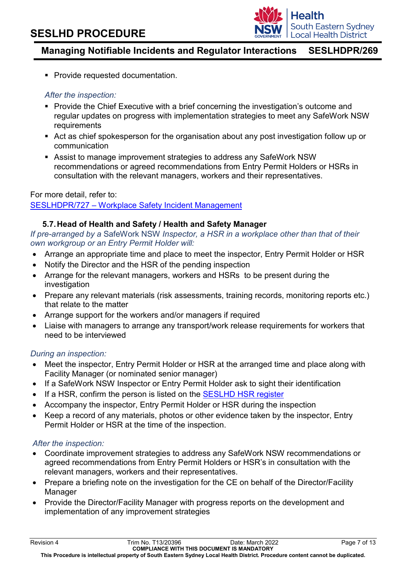

**Provide requested documentation.** 

### *After the inspection:*

- **Provide the Chief Executive with a brief concerning the investigation's outcome and** regular updates on progress with implementation strategies to meet any SafeWork NSW requirements
- Act as chief spokesperson for the organisation about any post investigation follow up or communication
- Assist to manage improvement strategies to address any SafeWork NSW recommendations or agreed recommendations from Entry Permit Holders or HSRs in consultation with the relevant managers, workers and their representatives.

### For more detail, refer to:

### SESLHDPR/727 – [Workplace Safety Incident Management](https://www.seslhd.health.nsw.gov.au/policies-and-publications/functional-group/104)

## **5.7.Head of Health and Safety / Health and Safety Manager**

*If pre-arranged by a* SafeWork NSW *Inspector, a HSR in a workplace other than that of their own workgroup or an Entry Permit Holder will:*

- Arrange an appropriate time and place to meet the inspector, Entry Permit Holder or HSR
- Notify the Director and the HSR of the pending inspection
- Arrange for the relevant managers, workers and HSRs to be present during the investigation
- Prepare any relevant materials (risk assessments, training records, monitoring reports etc.) that relate to the matter
- Arrange support for the workers and/or managers if required
- Liaise with managers to arrange any transport/work release requirements for workers that need to be interviewed

#### *During an inspection:*

- Meet the inspector, Entry Permit Holder or HSR at the arranged time and place along with Facility Manager (or nominated senior manager)
- If a SafeWork NSW Inspector or Entry Permit Holder ask to sight their identification
- If a HSR, confirm the person is listed on the [SESLHD HSR register](http://seslhnweb/hsw/commitees.asp)
- Accompany the inspector, Entry Permit Holder or HSR during the inspection
- Keep a record of any materials, photos or other evidence taken by the inspector, Entry Permit Holder or HSR at the time of the inspection.

#### *After the inspection:*

- Coordinate improvement strategies to address any SafeWork NSW recommendations or agreed recommendations from Entry Permit Holders or HSR's in consultation with the relevant managers, workers and their representatives.
- Prepare a briefing note on the investigation for the CE on behalf of the Director/Facility **Manager**
- Provide the Director/Facility Manager with progress reports on the development and implementation of any improvement strategies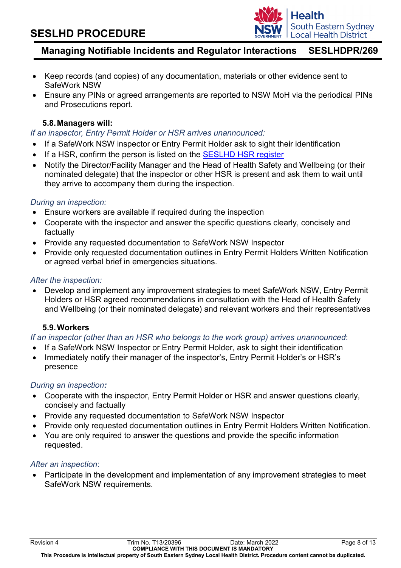

# **Managing Notifiable Incidents and Regulator Interactions SESLHDPR/269**

- Keep records (and copies) of any documentation, materials or other evidence sent to SafeWork NSW
- Ensure any PINs or agreed arrangements are reported to NSW MoH via the periodical PINs and Prosecutions report.

### **5.8.Managers will:**

*If an inspector, Entry Permit Holder or HSR arrives unannounced:* 

- If a SafeWork NSW inspector or Entry Permit Holder ask to sight their identification
- If a HSR, confirm the person is listed on the [SESLHD HSR register](http://seslhnweb/hsw/commitees.asp)
- Notify the Director/Facility Manager and the Head of Health Safety and Wellbeing (or their nominated delegate) that the inspector or other HSR is present and ask them to wait until they arrive to accompany them during the inspection.

#### *During an inspection:*

- Ensure workers are available if required during the inspection
- Cooperate with the inspector and answer the specific questions clearly, concisely and factually
- Provide any requested documentation to SafeWork NSW Inspector
- Provide only requested documentation outlines in Entry Permit Holders Written Notification or agreed verbal brief in emergencies situations.

#### *After the inspection:*

• Develop and implement any improvement strategies to meet SafeWork NSW, Entry Permit Holders or HSR agreed recommendations in consultation with the Head of Health Safety and Wellbeing (or their nominated delegate) and relevant workers and their representatives

#### **5.9.Workers**

#### *If an inspector (other than an HSR who belongs to the work group) arrives unannounced*:

- If a SafeWork NSW Inspector or Entry Permit Holder, ask to sight their identification
- Immediately notify their manager of the inspector's, Entry Permit Holder's or HSR's presence

#### *During an inspection:*

- Cooperate with the inspector, Entry Permit Holder or HSR and answer questions clearly, concisely and factually
- Provide any requested documentation to SafeWork NSW Inspector
- Provide only requested documentation outlines in Entry Permit Holders Written Notification.
- You are only required to answer the questions and provide the specific information requested.

#### *After an inspection*:

• Participate in the development and implementation of any improvement strategies to meet SafeWork NSW requirements.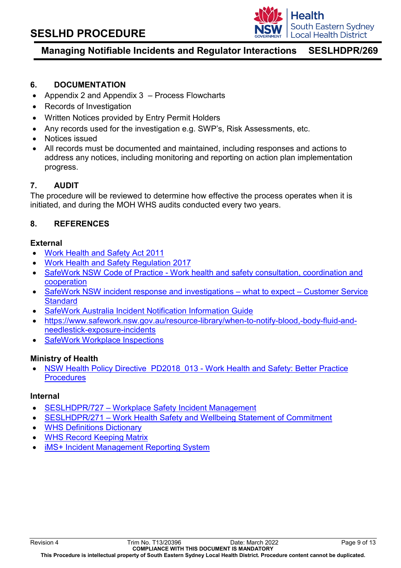

# **Managing Notifiable Incidents and Regulator Interactions SESLHDPR/269**

### **6. DOCUMENTATION**

- Appendix 2 and Appendix 3 Process Flowcharts
- Records of Investigation
- Written Notices provided by Entry Permit Holders
- Any records used for the investigation e.g. SWP's, Risk Assessments, etc.
- Notices issued
- All records must be documented and maintained, including responses and actions to address any notices, including monitoring and reporting on action plan implementation progress.

### **7. AUDIT**

The procedure will be reviewed to determine how effective the process operates when it is initiated, and during the MOH WHS audits conducted every two years.

## **8. REFERENCES**

#### **External**

- [Work Health and Safety Act 2011](https://www.legislation.gov.au/Details/C2018C00293)
- [Work Health and Safety Regulation 2017](https://legislation.nsw.gov.au/view/html/inforce/current/sl-2017-0404)
- SafeWork NSW Code of Practice [Work health and safety consultation, coordination and](https://www.safework.nsw.gov.au/__data/assets/pdf_file/0013/50071/Work-health-and-safety-consultation,-cooperation-and-coordination-COP.pdf)  [cooperation](https://www.safework.nsw.gov.au/__data/assets/pdf_file/0013/50071/Work-health-and-safety-consultation,-cooperation-and-coordination-COP.pdf)
- [SafeWork NSW incident response and investigations –](https://www.safework.nsw.gov.au/resource-library/prosecutions/customer-service-standard-what-to-expect-during-a-workplace-investigation) what to expect Customer Service **[Standard](https://www.safework.nsw.gov.au/resource-library/prosecutions/customer-service-standard-what-to-expect-during-a-workplace-investigation)**
- [SafeWork Australia Incident Notification Information Guide](https://www.safeworkaustralia.gov.au/system/files/documents/1702/incident-notification-fact-sheet-2015.pdf)
- [https://www.safework.nsw.gov.au/resource-library/when-to-notify-blood,-body-fluid-and](https://www.safework.nsw.gov.au/resource-library/when-to-notify-blood,-body-fluid-and-needlestick-exposure-incidents)[needlestick-exposure-incidents](https://www.safework.nsw.gov.au/resource-library/when-to-notify-blood,-body-fluid-and-needlestick-exposure-incidents)
- **[SafeWork Workplace Inspections](https://www.safework.nsw.gov.au/safety-starts-here/safety-support/workplace-inspections)**

#### **Ministry of Health**

• [NSW Health Policy Directive PD2018\\_013](https://www1.health.nsw.gov.au/pds/Pages/doc.aspx?dn=PD2018_013) - Work Health and Safety: Better Practice **[Procedures](https://www1.health.nsw.gov.au/pds/Pages/doc.aspx?dn=PD2018_013)** 

#### **Internal**

- SESLHDPR/727 [Workplace Safety Incident Management](https://www.seslhd.health.nsw.gov.au/policies-and-publications/functional-group/104)
- SESLHDPR/271 [Work Health Safety and Wellbeing Statement of Commitment](https://www.seslhd.health.nsw.gov.au/policies-and-publications/functional-group/104)
- [WHS Definitions Dictionary](http://seslhnweb/HSW/default.asp)
- [WHS Record Keeping Matrix](http://seslhnweb/Forms_and_Templates/Forms/default.asp#Workers_Compensation)
- [iMS+ Incident Management Reporting System](http://seslhdweb.seslhd.health.nsw.gov.au/Clinical_Governance/IMS/default.asp)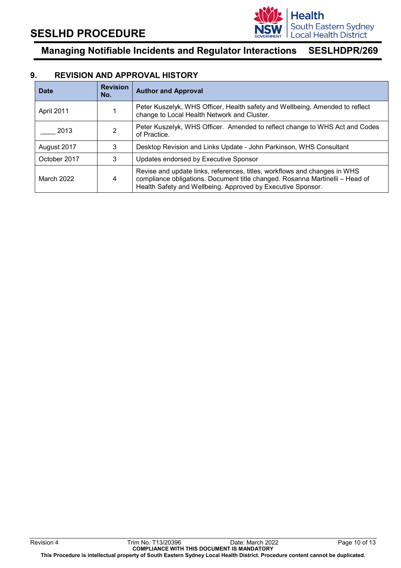

#### **9. REVISION AND APPROVAL HISTORY**

| <b>Date</b>  | <b>Revision</b><br>No. | <b>Author and Approval</b>                                                                                                                                                                                               |
|--------------|------------------------|--------------------------------------------------------------------------------------------------------------------------------------------------------------------------------------------------------------------------|
| April 2011   |                        | Peter Kuszelyk, WHS Officer, Health safety and Wellbeing. Amended to reflect<br>change to Local Health Network and Cluster.                                                                                              |
| 2013         | 2                      | Peter Kuszelyk, WHS Officer. Amended to reflect change to WHS Act and Codes<br>of Practice.                                                                                                                              |
| August 2017  | 3                      | Desktop Revision and Links Update - John Parkinson, WHS Consultant                                                                                                                                                       |
| October 2017 | 3                      | Updates endorsed by Executive Sponsor                                                                                                                                                                                    |
| March 2022   | 4                      | Revise and update links, references, titles, workflows and changes in WHS<br>compliance obligations. Document title changed. Rosanna Martinelli - Head of<br>Health Safety and Wellbeing. Approved by Executive Sponsor. |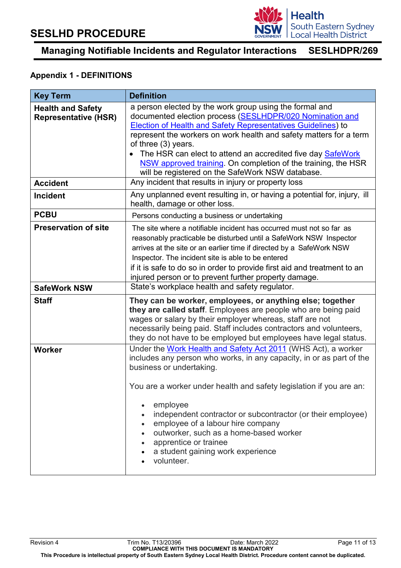

## **Appendix 1 - DEFINITIONS**

| <b>Key Term</b>                                         | <b>Definition</b>                                                                                                                                                                                                                                                                                                                                                                                                                                                                                                     |
|---------------------------------------------------------|-----------------------------------------------------------------------------------------------------------------------------------------------------------------------------------------------------------------------------------------------------------------------------------------------------------------------------------------------------------------------------------------------------------------------------------------------------------------------------------------------------------------------|
| <b>Health and Safety</b><br><b>Representative (HSR)</b> | a person elected by the work group using the formal and<br>documented election process (SESLHDPR/020 Nomination and<br><b>Election of Health and Safety Representatives Guidelines) to</b><br>represent the workers on work health and safety matters for a term<br>of three (3) years.<br>The HSR can elect to attend an accredited five day SafeWork<br>NSW approved training. On completion of the training, the HSR<br>will be registered on the SafeWork NSW database.                                           |
| <b>Accident</b>                                         | Any incident that results in injury or property loss                                                                                                                                                                                                                                                                                                                                                                                                                                                                  |
| <b>Incident</b>                                         | Any unplanned event resulting in, or having a potential for, injury, ill<br>health, damage or other loss.                                                                                                                                                                                                                                                                                                                                                                                                             |
| <b>PCBU</b>                                             | Persons conducting a business or undertaking                                                                                                                                                                                                                                                                                                                                                                                                                                                                          |
| <b>Preservation of site</b>                             | The site where a notifiable incident has occurred must not so far as<br>reasonably practicable be disturbed until a SafeWork NSW Inspector<br>arrives at the site or an earlier time if directed by a SafeWork NSW<br>Inspector. The incident site is able to be entered<br>if it is safe to do so in order to provide first aid and treatment to an<br>injured person or to prevent further property damage.                                                                                                         |
| <b>SafeWork NSW</b>                                     | State's workplace health and safety regulator.                                                                                                                                                                                                                                                                                                                                                                                                                                                                        |
| <b>Staff</b>                                            | They can be worker, employees, or anything else; together<br>they are called staff. Employees are people who are being paid<br>wages or salary by their employer whereas, staff are not<br>necessarily being paid. Staff includes contractors and volunteers,<br>they do not have to be employed but employees have legal status.                                                                                                                                                                                     |
| <b>Worker</b>                                           | Under the Work Health and Safety Act 2011 (WHS Act), a worker<br>includes any person who works, in any capacity, in or as part of the<br>business or undertaking.<br>You are a worker under health and safety legislation if you are an:<br>employee<br>independent contractor or subcontractor (or their employee)<br>$\bullet$<br>employee of a labour hire company<br>$\bullet$<br>outworker, such as a home-based worker<br>apprentice or trainee<br>$\bullet$<br>a student gaining work experience<br>volunteer. |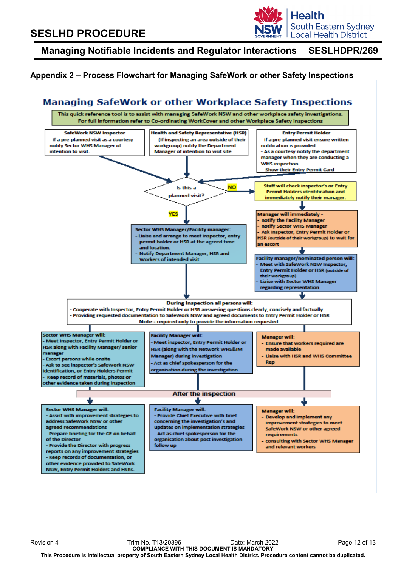

## **Appendix 2 – Process Flowchart for Managing SafeWork or other Safety Inspections**

## **Managing SafeWork or other Workplace Safety Inspections**